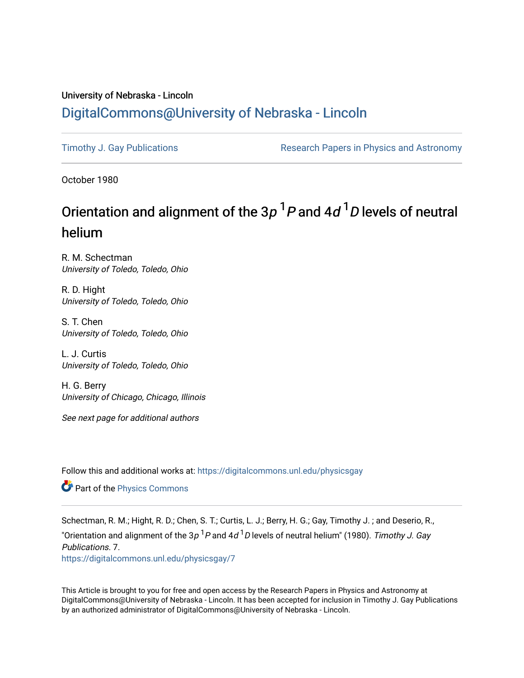## University of Nebraska - Lincoln [DigitalCommons@University of Nebraska - Lincoln](https://digitalcommons.unl.edu/)

[Timothy J. Gay Publications](https://digitalcommons.unl.edu/physicsgay) **Research Papers in Physics and Astronomy** 

October 1980

# Orientation and alignment of the 3p  $^{1}P$  and 4d  $^{1}D$  levels of neutral helium

R. M. Schectman University of Toledo, Toledo, Ohio

R. D. Hight University of Toledo, Toledo, Ohio

S. T. Chen University of Toledo, Toledo, Ohio

L. J. Curtis University of Toledo, Toledo, Ohio

H. G. Berry University of Chicago, Chicago, Illinois

See next page for additional authors

Follow this and additional works at: [https://digitalcommons.unl.edu/physicsgay](https://digitalcommons.unl.edu/physicsgay?utm_source=digitalcommons.unl.edu%2Fphysicsgay%2F7&utm_medium=PDF&utm_campaign=PDFCoverPages)

Part of the [Physics Commons](http://network.bepress.com/hgg/discipline/193?utm_source=digitalcommons.unl.edu%2Fphysicsgay%2F7&utm_medium=PDF&utm_campaign=PDFCoverPages)

Schectman, R. M.; Hight, R. D.; Chen, S. T.; Curtis, L. J.; Berry, H. G.; Gay, Timothy J. ; and Deserio, R., "Orientation and alignment of the 3 $p\,{}^{1}P$  and 4 $d\,{}^{1}D$  levels of neutral helium" (1980). *Timothy J. Gay* Publications. 7. [https://digitalcommons.unl.edu/physicsgay/7](https://digitalcommons.unl.edu/physicsgay/7?utm_source=digitalcommons.unl.edu%2Fphysicsgay%2F7&utm_medium=PDF&utm_campaign=PDFCoverPages)

This Article is brought to you for free and open access by the Research Papers in Physics and Astronomy at DigitalCommons@University of Nebraska - Lincoln. It has been accepted for inclusion in Timothy J. Gay Publications by an authorized administrator of DigitalCommons@University of Nebraska - Lincoln.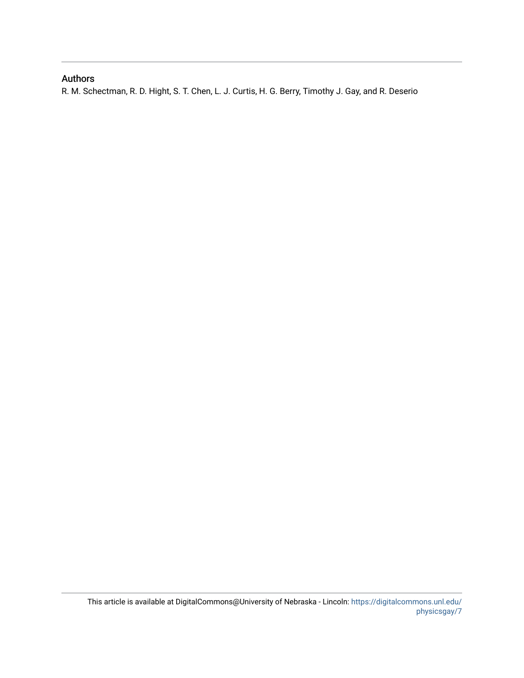### Authors

R. M. Schectman, R. D. Hight, S. T. Chen, L. J. Curtis, H. G. Berry, Timothy J. Gay, and R. Deserio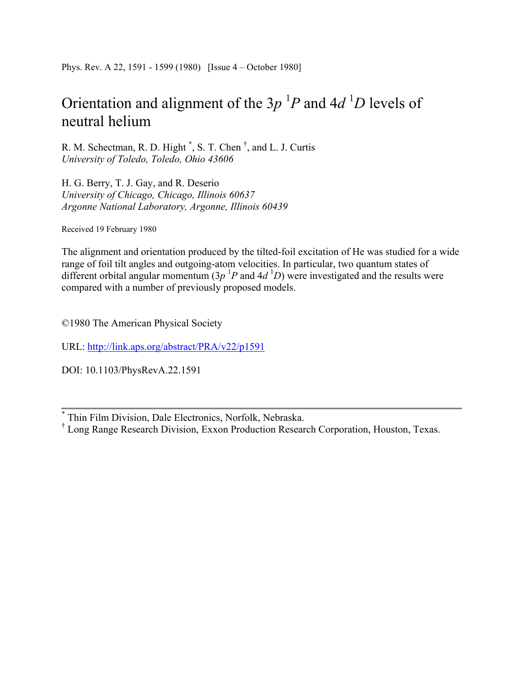## Orientation and alignment of the  $3p<sup>1</sup>P$  and  $4d<sup>1</sup>D$  levels of neutral helium

R. M. Schectman, R. D. Hight<sup>\*</sup>, S. T. Chen<sup>†</sup>, and L. J. Curtis *University of Toledo, Toledo, Ohio 43606* 

H. G. Berry, T. J. Gay, and R. Deserio *University of Chicago, Chicago, Illinois 60637 Argonne National Laboratory, Argonne, Illinois 60439* 

Received 19 February 1980

The alignment and orientation produced by the tilted-foil excitation of He was studied for a wide range of foil tilt angles and outgoing-atom velocities. In particular, two quantum states of different orbital angular momentum  $(3p<sup>1</sup>P$  and  $4d<sup>1</sup>D)$  were investigated and the results were compared with a number of previously proposed models.

©1980 The American Physical Society

URL: http://link.aps.org/abstract/PRA/v22/p1591

DOI: 10.1103/PhysRevA.22.1591

\* Thin Film Division, Dale Electronics, Norfolk, Nebraska.

† Long Range Research Division, Exxon Production Research Corporation, Houston, Texas.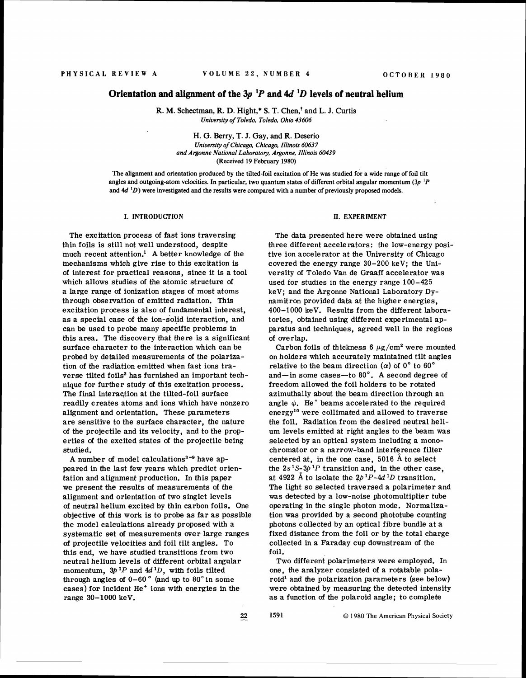#### **Orientation and alignment of the**  $3p<sup>1</sup>P$  **and**  $4d<sup>1</sup>D$  **levels of neutral helium**

R. M. Schectman, R. D. Hight,\* S. T. Chen,<sup>†</sup> and L. J. Curtis *University of Toledo, Toledo, Ohio 43606* 

> H. G. Berry, T. J. **Gay,** and R. Deserio *University of Chicago, Chicago, Illinois 60637 and Argonne National Laboratory, Argonne, Illinois 60439*  **(Received** *19* **February 1980)**

**The alignment and orientation produced by the tilted-foil excitation of He was studied for a wide range of foil tilt**  angles and outgoing-atom velocities. In particular, two quantum states of different orbital angular momentum  $(3p)^{1}P$ **and 4d** *'D)* **were investigated and the results were compared with a number of previously proposed models.** 

#### **I. INTRODUCTION**

The excitation process of fast ions traversing thin foils is still not well understood, despite much recent attention.' A better knowledge of the mechanisms which give rise to this excitation is of interest for practical reasons, since it is a tool which allows studies of the atomic structure of a large range of ionization stages of most atoms through observation of emitted radiation. This excitation process is also of fundamental interest, as a special case of the ion-solid interaction, and can be used to probe many specific problems in this area. The discovery that there is a significant surface character to the interaction which can be probed by detailed measurements of the polarization of the radiation emitted when fast ions traverse tilted foils<sup>2</sup> has furnished an important technique for further study of this excitation process. The final interaqtion at the tilted-foil surface readily creates atoms and ions which have nonzero alignment and orientation. These parameters are sensitive to the surface character, the nature of the projectile and its velocity, and to the properties of the excited states of the projectile being studied.

A number of model calculations<sup>3-9</sup> have appeared in the last few years which predict orientation and alignment production, In this paper we present the results of measurements of the alignment and orientation of two singlet levels of neutral helium excited by thin carbon foils. One objective **of** this work is to probe as far as possible the model calculations already proposed with a systematic set of measurements over large ranges of projectile velocities and foil tilt angles. To this end, we have studied transitions from two neutral helium levels of different orbital angular momentum,  $3p^{1}P$  and  $4d^{1}D$ , with foils tilted through angles of **0-60"** (and up to **80"** in some cases) for incident He' ions with energies in the range **30-1000** keV.

#### **II. EXPERIMENT**

The data presented here were obtained using three different accelerators: the low-energy positive ion accelerator at the University of Chicago covered the energy range **30-200** keV; the University of Toledo Van de Graaff accelerator was used for studies in the energy range **100-425**  keV; and the Argonne National Laboratory Dynamitron provided data at the higher energies, **400-1000** keV. Results from the different laboratories, obtained using different experimental apparatus and techniques, agreed well in the regions of overlap.

Carbon foils of thickness  $6 \mu g/cm^2$  were mounted on holders which accurately maintained tilt angles relative to the beam direction  $(\alpha)$  of  $0^{\circ}$  to  $60^{\circ}$ and-in some cases-to **80".** A second degree of freedom allowed the foil holders to be rotated azimuthally about the beam direction through an angle  $\phi$ . He<sup>+</sup> beams accelerated to the required energy1° were collimated and allowed to traverse the foil. Radiation from the desired neutral helium levels emitted at right angles to the beam was selected by an optical system including a monochromator or a narrow-band interference filter centered at, in the one case, **5016 A** to select the  $2s<sup>1</sup>S-3p<sup>1</sup>P$  transition and, in the other case, at 4922 Å to isolate the  $2p^{1}P-4d^{1}D$  transition. The light so selected traversed a polarimeter and was detected by a low-noise photomultiplier tube operating in the single photon mode. Normalization was provided by a second phototube counting photons collected by an optical fibre bundle at a fixed distance from the foil or by the total charge collected in a Faraday cup downstream of the foil.

Two different polarimeters were employed. In one, the analyzer consisted of a rotatable polaroid' and the polarization parameters (see below) were obtained by measuring the detected intensity as a function of the polaroid angle; to complete

 $\bf{22}$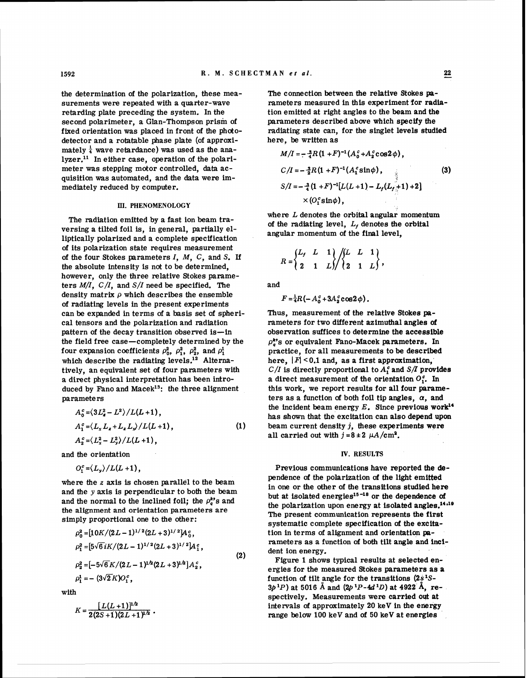the determination of the polarization, these measurements were repeated with a quarter-wave retarding plate preceding the system. In the second polarimeter, a Glan-Thompson prism of fixed orientation was placed in front of the photodetector and a rotatable phase plate (of approximately  $\frac{1}{4}$  wave retardance) was used as the ana $l\nu$ zer.<sup>11</sup> In either case, operation of the polarimeter was stepping motor controlled, data acquisition was automated, and the data were immediately reduced by computer.

#### **Ill. PHENOMENOLOGY**

The radiation emitted by a fast ion beam traversing a tilted foil is, in general, partially elliptically polarized and a complete specification of its polarization state requires measurement of the four Stokes parameters  $I$ ,  $M$ ,  $C$ , and  $S$ . If the absolute intensity is not to be determined, however, only the three relative Stokes parameters  $M/I$ ,  $C/I$ , and  $S/I$  need be specified. The density matrix  $\rho$  which describes the ensemble of radiating levels in the present experiments can be expanded in terms **of** a basis set of spherical tensors and the polarization and radiation  $pattern of the decay transition observed is—in$ the field free case—completely determined by the four expansion coefficients  $\rho_0^2$ ,  $\rho_1^2$ ,  $\rho_2^2$ , and  $\rho_1^1$ which describe the radiating levels.<sup>12</sup> Alternatively, an equivalent set **of** four parameters with a direct physical interpretation has been introduced by Fano and Macek<sup>13</sup>: the three alignment parameters

$$
A_0^c = \langle 3L_x^2 - L^2 \rangle / L(L+1),
$$
  
\n
$$
A_1^c = \langle L_x L_z + L_z L_y / L(L+1),
$$
  
\n
$$
A_2^c = \langle L_x^2 - L_y^2 \rangle / L(L+1),
$$
\n(1)

and the orientation

$$
O_1^c = \langle L_{\nu} \rangle / L(L+1),
$$

where the  $z$  axis is chosen parallel to the beam and the y axis is perpendicular to both the beam and the normal to the inclined foil; the  $\rho_a^{k}$ 's and the alignment and orientation parameters are simply proportional one to the other:

$$
\rho_0^2 = [10K/(2L-1)^{1/2}(2L+3)^{1/2}]A_0^c,
$$
  
\n
$$
\rho_1^2 = [5\sqrt{6}iK/(2L-1)^{1/2}(2L+3)^{1/2}]A_1^c,
$$
  
\n
$$
\rho_2^2 = [-5\sqrt{6}K/(2L-1)^{1/2}(2L+3)^{1/2}]A_2^c,
$$
  
\n
$$
\rho_1^1 = -(3\sqrt{2}K)O_1^c,
$$
\n(2)

with

$$
K=\frac{[L(L+1)]^{1/2}}{2(2S+1)(2L+1)^{1/2}}.
$$

The connection between the relative Stokes parameters measured in this experiment for radiation emitted at right angles to the beam and the parameters described above which specify the radiating state can, for the singlet levels studied here, be written as

$$
M/I = -\frac{3}{4}R(1+F)^{-1}(A_0^c + A_2^c \cos 2\phi),
$$
  
\n
$$
C/I = -\frac{3}{2}R(1+F)^{-1}(A_1^c \sin \phi),
$$
  
\n
$$
S/I = -\frac{3}{4}(1+F)^{-1}[L(L+1) - L_f(L_f + 1) + 2]
$$
  
\n
$$
\times (O_1^c \sin \phi),
$$
  
\n(3)

where  $L$  denotes the orbital angular momentum of the radiating level,  $L_f$  denotes the orbital angular momentum of the final level,

$$
R = \begin{cases} L_f & L & 1 \\ 2 & 1 & L \end{cases} / \begin{cases} L & L & 1 \\ 2 & 1 & L \end{cases},
$$

and

$$
F = \frac{1}{4}R(-A_0^c + 3A_2^c \cos 2\phi).
$$

Thus, measurement of the relative Stokes parameters for two different azimuthal angles of observation suffices to determine the acceesible  $\rho_s^{k}$ 's or equivalent Fano-Macek parameters. In practice, for all measurements to be described here,  $|F|$  < 0.1 and, as a first approximation,  $C/I$  is directly proportional to  $A_i^c$  and  $S/I$  provides a direct measurement of the orientation  $O_i^c$ . In this work, we report results for all four parameters as a function **of** both foil tip angles, **a,** and the incident beam energy  $E$ . Since previous work<sup>14</sup> has shown that the excitation can also depend upon beam current density **j,** these experiments were all carried out with  $j = 8 \pm 2 \mu A/cm^2$ .

#### **N. RESULTS**

Previous communications have reported the dependence **of** the polarization **of** the light emitted in one or the other of the transitions studied here but at isolated energies<sup>15-18</sup> or the dependence of the polarization upon energy at isolated angles.<sup>14,19</sup> The present communication represents the first systematic complete specification **of** the excitation in terms **of** alignment and orientation parameters as a function **of** both tilt angle and incident ion energy.

Figure 1 shows typical results at selected energies for the measured Stokes parameters as a function of tilt angle for the transitions  $(2s<sup>1</sup>S-$ *3p* 'P) at **5016 A** and (2p1P-4d *'D)* at **4922 A,** respectively. Measurements were carried out at intervals **of** approximately **20** keV in the eaergy range below **100** keV and of **50** keV at energies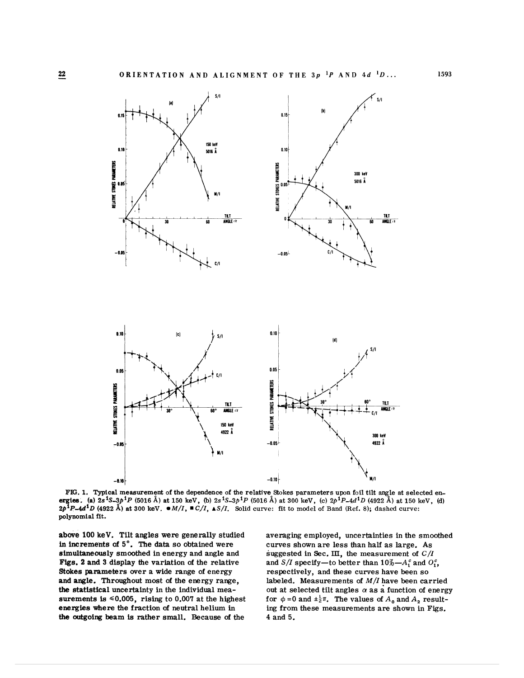

FIG. 1. Typical measurement of the dependence of the relative Stokes parameters upon foil tilt angle at selected en**ergies.** (a)  $2s^1S-3p^1P$  (5016 Å) at 150 keV, (b)  $2s^1S-3p^1P$  (5016 Å) at 300 keV, (c)  $2p^1P-4d^1D$  (4922 Å) at 150 keV, (d) **PIG. 1.** Typical measurement of the dependence of the relative Stokes parameters upon foil tilt angle at selectrons.<br> **2p<sup>1</sup>P**-4d<sup>1</sup>D (4922 Å) at 300 keV.  $\bullet M/I$ ,  $\bullet C/I$ ,  $\bullet S/I$ . Solid curve: fit to model of Band (Ref. 8 polynomial fit.

above 100 keV. Tilt angles were generally studied in incremehts of **5".** The **data** so obtained were simultaneously smoothed in energy and angle and Figs. 2 and 3 display the variation of the relative Stokes parameters over a wide range of energy and angle. Throughout most of the energy range, the statistical uncertainty in the individual measurements is  $\leq 0.005$ , rising to 0.007 at the highest energies where the fraction of neutral helium in the outgoing beam is rather small. Because of the

averaging employed, uncertainties in the smoothed curves shown are less than half as large. As suggested in Sec. III, the measurement of  $C/I$ and *S*/*I* specify-to better than  $10\% - A_1^c$  and  $O_1^c$ , respectively, and these curves have been so labeled. Measurements of *M/I* have been carried out at selected tilt angles  $\alpha$  as a function of energy for  $\phi = 0$  and  $\pm \frac{1}{2}\pi$ . The values of  $A_0$  and  $A_2$  resulting from these measurements are shown in Figs. 4 and 5.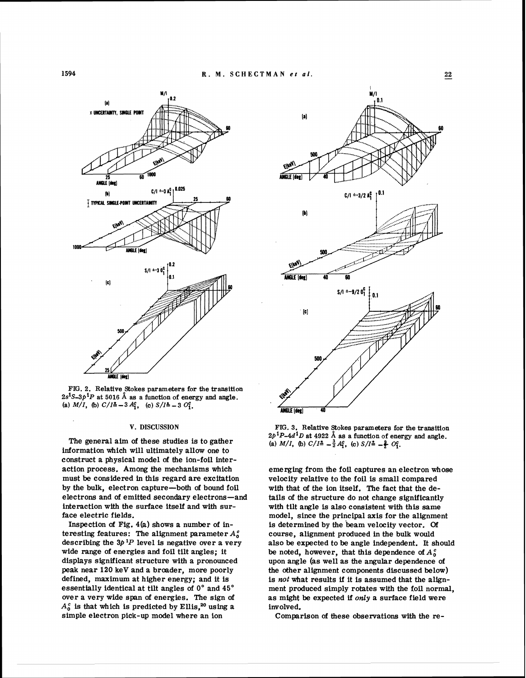

FIG. **2.** Relative Stokes parameters for the transition  $2s<sup>1</sup>S-3p<sup>1</sup>P$  at 5016 Å as a function of energy and angle. (a)  $M/I$ , (b)  $C/I = -3A_f^c$ , (c)  $S/I = -3O_f^c$ .

#### **V. DISCUSSION**

The general aim of these studies is to gather information which will ultimately allow one to construct a physical model **of** the ion-foil interaction process. Among the mechanisms which must be considered in this regard are excitation by the bulk, electron capture-both **d** bound foil electrons and of emitted secondary electrons-and interaction with the surface itself and with surface electric fields.

Inspection **of** Fig. **4(a)** shows a number of interesting features: The alignment parameter  $A_0^c$ describing the  $3p^{1}P$  level is negative over a very wide range of energies and foil tilt angles; it displays significant structure with a pronounced peak near 120 keV and a broader, more poorly defined, maximum at higher energy; and it is essentially identical at tilt angles of **0"** and **45'**  over a very wide span **of** energies. The sign **of**   $A_0^c$  is that which is predicted by Ellis.<sup>20</sup> using a simple electron pick-up model where an ion



FIG. *3.* Relative Stokes parameters for the transition  $2p^{1}P-4d^{1}D$  at 4922 Å as a function of energy and angle. (a)  $M/I$ , (b)  $C/I^{\frac{3}{2}} - \frac{3}{2}A_1^c$ , (c)  $S/I^{\frac{3}{2}} - \frac{3}{2}O_1^c$ .

emerging from the foil captures an electron whose velocity relative to the foil is small compared with that **of** the ion itself. The fact that the details of the structure do not change significantly with tilt angle is also consistent with this same model, since the principal axis for the alignment is determined by the 'beam velocity vector. Of course, alignment produced in the bulk would also be expected to be angle independent. It should be noted, however, that this dependence of  $A_0^c$ upon angle (as well as the angular dependence **of**  the other alignment components discussed below) is not what results if it is assumed that the alignment produced simply rotates with the foil normal, as might be expected if only a surface field were involved.

Comparison **of** these observations with the re-

 $\bf{22}$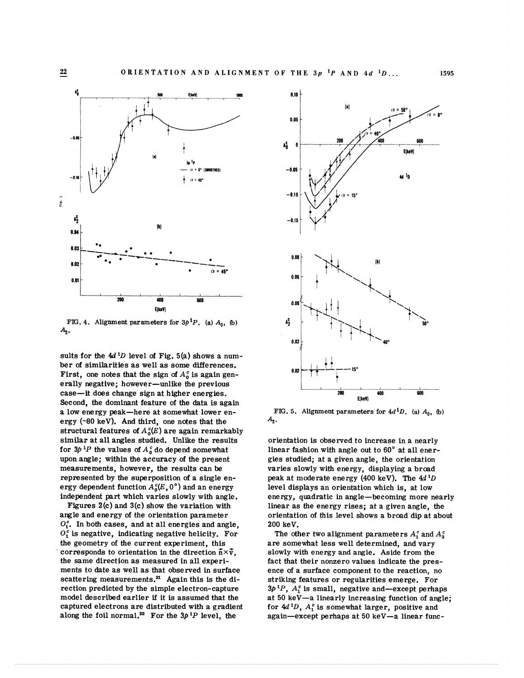

FIG. 4. Alignment parameters for  $3p^{1}P$ . **(a)**  $A_0$ , **(b)**  $A<sub>2</sub>$ .

sults for the  $4d^{1}D$  level of Fig. 5(a) shows a number of similarities as well as some differences. First, one notes that the sign of  $A_0^c$  is again generally negative; however-unlike the previous case-it does change sign at higher energies. Second, the dominant feature of the data is again a low energy peak-here at somewhat lower energy (-80 keV). And third, one notes that the structural features of  $A_0^c(E)$  are again remarkably similar at all angles studied. Unlike the results for  $3p^{1}P$  the values of  $A_0^c$  do depend somewhat upon angle; within the accuracy of the present measurements, however, the results can be represented by the superposition of a single energy dependent function  $A_0^c(E, 0^{\circ})$  and an energy independent part which varies slowly with angle.

Figures 2(c) and 3(c) show the variation with angle and energy of the orientation parameter **0:.** In both cases, and at all energies and angle, **0;** is negative, indicating negative helicity. For the geometry of the current experiment, this corresponds to orientation in the direction  $\vec{n} \times \vec{v}$ , the same direction as measured in all experiments to date as well as that observed in surface scattering measurements.<sup>21</sup> Again this is the direction predicted by the simple electron-capture model described earlier if it is assumed that the captured electrons are distributed with a gradient along the foil normal.<sup>22</sup> For the  $3p$ <sup>1</sup>P level, the



FIG. 5. Alignment parameters for  $4d<sup>1</sup>D$ . (a)  $A_0$ , (b)  $A_{2}$ .

orientation is observed to increase in a nearly linear fashion with angle out to 60° at all energies studied; at a given angle, the orientation varies slowly with energy, displaying a broad peak at moderate energy (400 keV). The **4d 'D**  level displays an orientation which is, at low energy, quadratic in angle-becoming more nearly linear as the energy rises; at a given angle, the orientation of this level shows a broad dip at about 200 keV.

The other two alignment parameters  $A_i^c$  and  $A_i^c$ are somewhat less well determined, and vary slowly with energy and angle. Aside from the fact that their nonzero values indicate the presence of a surface component to the reaction, no striking features or regularities emerge. For  $3p^{1}P$ ,  $A_1^c$  is small, negative and—except perhaps at 50 keV-a linearly increasing function of angle; for  $4d^{1}D$ ,  $A_{1}^{c}$  is somewhat larger, positive and again-except perhaps at 50 keV-a linear func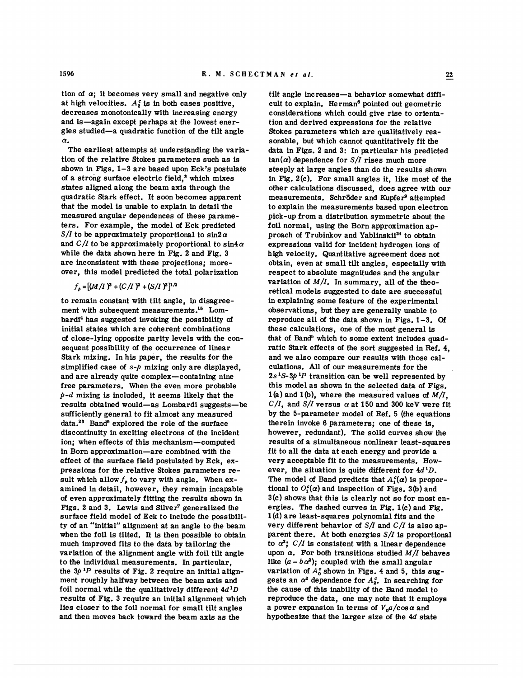tion of  $\alpha$ ; it becomes very small and negative only at high velocities.  $A_2^c$  is in both cases positive, decreases monotonically with increasing energy and is-again except perhaps at the lowest energies studied-a quadratic function of the tilt angle a.

The earliest attempts at understanding the variation of the relative Stokes parameters such as is shown in Figs. 1-3 are based upon Eck's postulate **of** a strong surface electric field,' which mixes states aligned along the beam axis through the quadratic Stark effect. It soon becomes apparent that the model is unable to explain in detail the measured angular dependences of these parameters. For example, the model of Eck predicted S/I to be approximately proportional to  $\sin 2\alpha$ and  $C/I$  to be approximately proportional to sin4 $\alpha$ while the data shown here in Fig. 2 and Fig. 3 are inconsistent with these projections; moreover, this model predicted the total polarization

### $f_p = [(M/I)^2 + (C/I)^2 + (S/I)^2]^{1/2}$

to remain constant with tilt angle, **In** disagreement with subsequent measurements.15 Lombardi4 has suggested invoking the possibility **of**  initial states which are coherent combinations of close-lying opposite parity levels with the consequent possibility of the occurrence of linear Stark mixing. In his paper, the results for the simplified case of *s-p* mixing only are displayed, and are already quite complex-containing nine free parameters. When the even more probable *P-d* mixing is included, it seems likely that the results obtained would-as Lombardi suggests-be sufficiently general to fit almost any measured data.<sup>23</sup> Band<sup>5</sup> explored the role of the surface discontinuity in exciting electrons of the incident ion; when effects of this mechanism-computed in Born approximation-are combined with the effect **of** the surface field postulated by Eck, expressions for the relative Stokes parameters result which allow  $f_{p}$  to vary with angle. When examined in detail, however, they remain incapable of even approximately fitting the results shown in Figs. 2 and 3. Lewis and Silver<sup>7</sup> generalized the surface field model of Eck to include the possibility of an "initial" alignment at an angle to the beam when the foil is tilted. It is then possible to obtain much improved fits to the data by tailoring the variation **of** the alignment angle with foil tilt angle to the individual measurements. In particular, the  $3p<sup>1</sup>P$  results of Fig. 2 require an initial alignment roughly halfway between the beam axis and foil normal while the qualitatively different  $4d<sup>1</sup>D$ results of Fig. 3 require an initial alignment which lies closer to the foil normal for small tilt angles and then moves back toward the beam axis as the

tilt angle increases-a behavior somewhat difficult to explain. Herman<sup>6</sup> pointed out geometric considerations which could give rise to orientation and derived expressions for the relative Stokes parameters which are qualitatively reasonable, but which cannot quantitatively fit the data in Figs. 2 and 3: In particular his predicted  $tan(\alpha)$  dependence for S/I rises much more steeply at large angles than do the results shown in Fig. 2(c). For small angles it, like most of the other calculations discussed, does agree with our measurements. Schröder and Kupfer<sup>9</sup> attempted to explain the measurements based upon electron pick-up from a distribution symmetric about the foil normal, using the Born approximation approach of Trubinkov and Yablinskii<sup>24</sup> to obtain expressions valid for incident hydrogen ions **of**  high velocity. Quantitative agreement does not obtain, even at small tilt angles, especially with respect to absolute magnitudes and the angular variation of  $M/I$ . In summary, all of the theoretical models suggested to date are successful in explaining some feature **of** the experimental observations, but they are generally unable to reproduce all of the data shown in Figs. 1-3. **Of**  these calculations, one of the most general is that of Band<sup>5</sup> which to some extent includes quadratic Stark effects of the sort suggested in Ref. 4, and we also compare our results with those calculations. All of our measurements for the  $2s<sup>1</sup>S-3p<sup>1</sup>P$  transition can be well represented by this model as shown in the selected data of Figs.  $1(a)$  and  $1(b)$ , where the measured values of  $M/I$ ,  $C/I$ , and  $S/I$  versus  $\alpha$  at 150 and 300 keV were fit by the 5-parameter model of Ref. 5 (the equations therein invoke 6 parameters; one of these is, however, redundant). The solid curves show the results of a simultaneous nonlinear least-squares fit to all the data at each energy and provide a very acceptable fit to the measurements. However, the situation is quite different for  $4d<sup>1</sup>D$ . The model of Band predicts that  $A_i^c(\alpha)$  is proportional to  $O_1^c(\alpha)$  and inspection of Figs. 3(b) and 3(c) shows that this is clearly not so for most energies. The dashed curves in Fig. l(c) and Fig. **1** (d) are least-squares polynomial fits and the very different behavior of  $S/I$  and  $C/I$  is also apparent there. At both energies  $S/I$  is proportional to  $\alpha^2$ ;  $C/I$  is consistent with a linear dependence upon  $\alpha$ . For both transitions studied  $M/I$  behaves like  $(a - b\alpha^2)$ ; coupled with the small angular variation of  $A_0^c$  shown in Figs. 4 and 5, this suggests an  $\alpha^2$  dependence for  $A_2^c$ . In searching for the cause **of** this inability of the Band model to reproduce the data, one may note that it employs a power expansion in terms of  $V_0 a / \cos \alpha$  and hypothesize that the larger size of the 4d state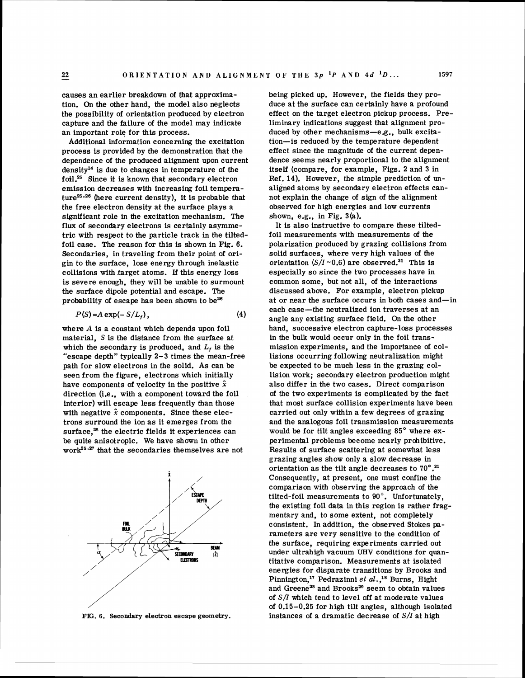causes an earlier breakdown of that approximation. On the other hand, the model also neglects the possibility of orientation produced by electron capture and the failure of the model may indicate an important role for this process.

Additional information concerning the excitation process is provided by the demonstration that the dependence of the produced alignment upon current density $14$  is due to changes in temperature of the foil.<sup>25</sup> Since it is known that secondary electron emission decreases with increasing foil temperature<sup>25,26</sup> (here current density), it is probable that the free electron density at the surface plays a significant role in the excitation mechanism. The flux of secondary electrons is certainly asymmetric with respect to the particle track in the tiltedfoil case. The reason for this is shown in Fig. 6. Secondaries, in traveling from their point of origin to the surface, lose energy through inelastic collisions with .target atoms. If this energy loss is severe enough, they will be unable to surmount the surface dipole potential and escape. The probability of escape has been shown to be $^{26}$ 

$$
P(S) = A \exp(-S/L_f), \tag{4}
$$

where **A** is a constant which depends upon foil material, *S* is the distance from the surface at which the secondary is produced, and  $L_f$  is the "escape depth" typically 2-3 times the mean-free path for slow electrons in the solid. As can be seen from the figure, electrons which initially have components of velocity in the positive  $\hat{x}$ direction (i.e., with a component toward the foil interior) will escape less frequently than those with negative  $\hat{x}$  components. Since these electrons surround the ion as it emerges from the surface,<sup>25</sup> the electric fields it experiences can be quite anisotropic. We have shown in other work<sup>25.27</sup> that the secondaries themselves are not



**FIG. 6. Secondary electron escape geometry.** 

being picked up. However, the fields they produce at the surface can certainly have a profound effect on the target electron pickup process. Preliminary indications suggest that alignment produced by other mechanisms-e.g., bulk excitation-is reduced by the temperature dependent effect since the magnitude of the current dependence seems nearly proportional to the alignment itself (compare, for example, Figs. 2 and **3** in Ref. 14). However, the simple prediction of unaligned atoms by secondary electron effects cannot explain the change of sign of the alignment observed for high energies and low currents shown, e.g., in Fig, 3(a).

It is also instructive to compare these tiltedfoil measurements with measurements of the polarization produced by grazing collisions from solid surfaces, where very high values of the orientation  $(S/I \sim 0.6)$  are observed.<sup>21</sup> This is especially so since the two processes have in common some, but not all, of the interactions discussed above. For example, electron pickup at or near the surface occurs in both cases and-in each case-the neutralized ion traverses at an angle any existing surface field. On the other hand, successive electron capture-loss processes in the bulk would occur only in the foil transmission experiments, and the importance of collisions occurring following neutralization might be expected to be much less in the grazing collision work; secondary electron production might also differ in the two cases. Direct comparison of the two experiments is complicated by the fact that most surface collision experiments have been carried out only within a few degrees of grazing and the analogous foil transmission measurements would be for tilt angles exceeding 85' where experimental problems become nearly prohibitive. Results of surface scattering at somewhat less grazing angles show only a slow decrease in orientation as the tilt angle decreases to 70°.21 Consequently, at present, one must confine the comparison with observing the approach of the tilted-foil measurements to 90'. Unfortunately, the existing foil data in this region is rather fragmentary and, to some extent, not completely consistent. In addition, the observed Stokes **pa**rameters are very sensitive to the condition of the surface, requiring experiments carried out under ultrahigh vacuum **UHV** conditions for quantitative comparison. Measurements at isolated energies for disparate transitions by Brooks and Pinnington,<sup>17</sup> Pedrazinni et al.,<sup>18</sup> Burns, Hight and Greene<sup>28</sup> and Brooks<sup>29</sup> seem to obtain values of *S/Z* which tend to level off at moderate values of 0.15-0.25 for high tilt angles, although isolated instances of a dramatic decrease of *S/Z* at high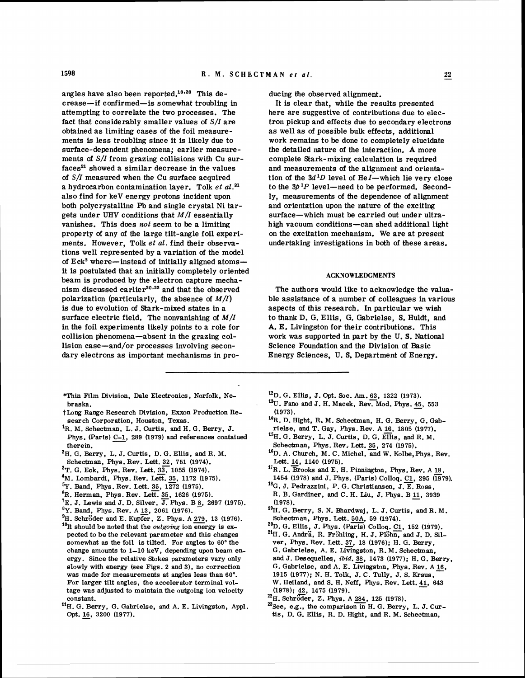angles have also been reported.<sup>18,28</sup> This decrease- if confirmed- is somewhat troubling in attempting to correlate the two processes. The fact that considerably smaller values of  $S/I$  are obtained as limiting cases of the foil measurements is less troubling since it is likely due to surface-dependent phenomena; earlier measurements **of** S/I from grazing collisions with Cu sur $faces<sup>21</sup>$  showed a similar decrease in the values of  $S/I$  measured when the Cu surface acquired a hydrocarbon contamination layer. Tolk *et al.*<sup>21</sup> also find for keV energy protons incident upon both polycrystalline Pb and single crystal Ni targets under UHV conditions that  $M/I$  essentially vanishes. This does *not* seem to be a limiting property **of** any of the large tilt-angle foil experiments. However, Tolk *et* al. find their observations well represented by a variation of the model of  $Eck<sup>3</sup>$  where-instead of initially aligned atomsit is postulated that an initially completely oriented beam is produced by the electron capture mechanism discussed earlier<sup>20,22</sup> and that the observed polarization (particularly, the absence **of** M/Z) is due to evolution of Stark-mixed states in a surface electric field. The nonvanishing of  $M/I$ in the foil experiments likely points to a role for collision phenomena-absent in the grazing collision case-and/or processes involving secondary electrons as important mechanisms in pro-

- \*Thin Film Division, Dale Electronics, Norfolk, Nebraska.
- thng Range Research Division, Exxon Production Research Corporation, Houston, Texas.
- The M. Schectman, L. J. Curtis, and H. G. Berry, J.<br>
Phys. (Paris) <u>C-1</u>, 289 (1979) and references contained<br> **Phys.** therein.
- ${}^{2}$ H. G. Berry, L. J. Curtis, D. G. Ellis, and R. M. Schectman, Phys. Rev. Lett. 32, **751 (1974).**
- 'T. G. Eck, Phys. Rev. **Lett.** 33, **1055 (1974).**
- <sup>4</sup>M. Lombardi, Phys. Rev. Lett. 35, 1172 (1975).
- %. Band, Phys. Rev. Lett. 35, **1272 (1975).**
- 6~. Herman, Phys. Rev. Lett. 35, **1626 (1975).**
- $^{7}E$ . J. Lewis and J. D. Silver,  $\overline{J}$ . Phys. B  $\overline{8}$ , 2697 (1975).
- **'Y.** Band, Phys. **Rev.** A **13, 2061 (1976).**
- <sup>9</sup>H. Schröder and E. Kupfer, Z. Phys. A 279, 13 (1976).
- <sup>10</sup>It should be noted that the *outgoing* ion energy is expected to be the relevant parameter and this changes somewhat as the foil is tilted. For angles to **60"** the change amounts to **1-10** keV, depending upon beam energy. Since the relative Stokes parameters vary only slowly with energy (see Figs. **2** and **3),** no correction was made for measurements at angles less than **60".**  For larger tilt angles, the accelerator terminal voltage was adjusted to maintain the outgoing ion velocity constant.
- <sup>11</sup>H. G. Berry, G. Gabrielse, and A. E. Livingston, Appl. Opt. **16, 3200 (1977).**

ducing the observed alignment.

It is clear that, while the results presented here are suggestive of contributions due to electron pickup and effects due to secondary electrons as well as of possible bulk effects, additional work remains to be done to completely elucidate the detailed nature of the interaction. **A** more complete Stark-mixing calculation is required and measurements of the alignment and orientation of the  $3d<sup>1</sup>D$  level of HeI-which lie very close to the  $3p^{1}P$  level-need to be performed. Secondly, measurements of the dependence of alignment and orientation upon the nature of the exciting surface-which must be carried out under ultrahigh vacuum conditions-can shed additional light on the excitation mechanism. We are at present undertaking investigations in both of these areas.

#### **ACKNOWLEDGMENTS**

The authors would like to acknowledge the valuable assistance of a number **of** colleagues in various aspects of this research. In particular we wish to thank D. G. Ellis, G. Gabrielse, S. Huldt, and **A.** E. Livingston for their contributions. This work was supported in part by the U. S. National Science Foundation and the Division **of** Basic Energy Sciences, U. S. Department **of** Energy.

- <sup>12</sup>D. G. Ellis, J. Opt. Soc. Am. 63, 1322 (1973).
- Fano and J. H. Macek, Rev. Mod. Phys. **45, 553 (1973).**
- <sup>14</sup>R. D. Hight, R. M. Schectman, H. G. Berry, G. Gabrielse, and T. Gay, Phys. Rev. A 16, 1805 (1977).
- $^{15}$ H. G. Berry, L. J. Curtis, D. G. Ellis, and R. M. Schectman, Phys. Rev.. Lett. 35, **274 (1975).**
- <sup>16</sup>D. A. Church, M. C. Michel, and W. Kolbe, Phys. Rev. Lett. **14, 1140 (1975).**
- $^{17}$ R. L. Brooks and E. H. Pinnington, Phys. Rev. A 18, **1454 (1978)** and **J.** Phys. (Paris) Colloq. **2, 295 (1979).**
- <sup>18</sup>G. J. Pedrazzini, P. G. Christiansen, J. E. Ross, R. B. Gardiner, and C. H. Liu, J. Phys. B **11, 3939 (1978).**
- <sup>19</sup>H. G. Berry, S. N. Bhardwaj, L. J. Curtis, and R. M. Schectman, Phys. Lett. 50A, 59 (1974).
- <sup>20</sup>D. G. Ellis, J. Phys. (Paris) Colloq. **C1**, 152 (1979).
- <sup>21</sup>H. G. Andra, R. Fröhling, H. J. Plöhn, and J. D. Silver, Phys. Rev. **Lett.** 31, **18 (1976); H.** G. Berry, G. Gabrielse, **A.** E. Livingston, **R.** M. Schectman, and J. Desequellq, **ibid.** 38, **1473 (1977); H.** G. Berry. G. Gabrielse, and A. E. Livingston, Phys. Rev. **A** 16, **1915 (1977);** N. H. Tolk, J. C. Tully, J. S. Kraus, W. Heiland, and S. H. Neff, Phys. Rev. **Lett.** 41, **<sup>643</sup> (1978);** *2,* **1475 (1979).**
- "H. Schrijder, Z. **Phys.** A *284,* **125 (1978).**

 $^{23}$ See, e.g., the comparison in H. G. Berry, L. J. Curtis, D. G. Ellis, R. D. Hight, and R. M. Schectman,